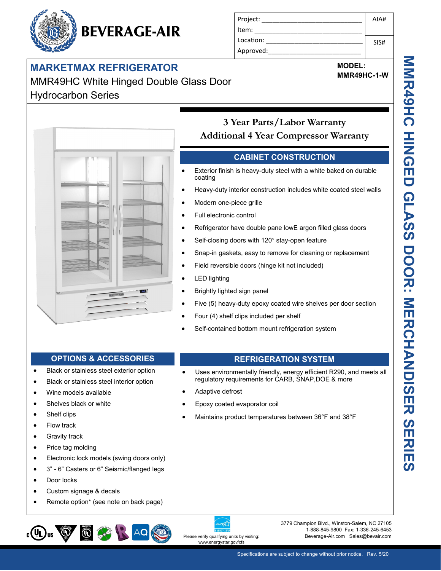# **MARKETMAX REFRIGERATOR**

## MMR49HC White Hinged Double Glass Door Hydrocarbon Series

**BEVERAGE-AIR** 



#### Project: Item: Location: Approved: AIA# SIS#

# **MODEL:**

**MMR49HC-1-W**

### **3 Year Parts/Labor Warranty Additional 4 Year Compressor Warranty**

#### **CABINET CONSTRUCTION**

- Exterior finish is heavy-duty steel with a white baked on durable coating
- Heavy-duty interior construction includes white coated steel walls
- Modern one-piece grille
- Full electronic control
- Refrigerator have double pane lowE argon filled glass doors
- Self-closing doors with 120° stay-open feature
- Snap-in gaskets, easy to remove for cleaning or replacement
- Field reversible doors (hinge kit not included)
- LED lighting
- Brightly lighted sign panel

Adaptive defrost

Epoxy coated evaporator coil

Five (5) heavy-duty epoxy coated wire shelves per door section

Uses environmentally friendly, energy efficient R290, and meets all

regulatory requirements for CARB, SNAP,DOE & more

Maintains product temperatures between 36°F and 38°F

- Four (4) shelf clips included per shelf
- Self-contained bottom mount refrigeration system

#### **OPTIONS & ACCESSORIES REFRIGERATION SYSTEM**

- Black or stainless steel exterior option
- Black or stainless steel interior option
- Wine models available
- Shelves black or white
- Shelf clips
- Flow track
- Gravity track
- Price tag molding
- Electronic lock models (swing doors only)
- 3" 6" Casters or 6" Seismic/flanged legs
- Door locks
- Custom signage & decals
- Remote option\* (see note on back page)



# www.energystar.gov/cfs

3779 Champion Blvd., Winston-Salem, NC 27105 1-888-845-9800 Fax: 1-336-245-6453 Please verify qualifying units by visiting: **Beverage-Air.com Sales@bevair.com**